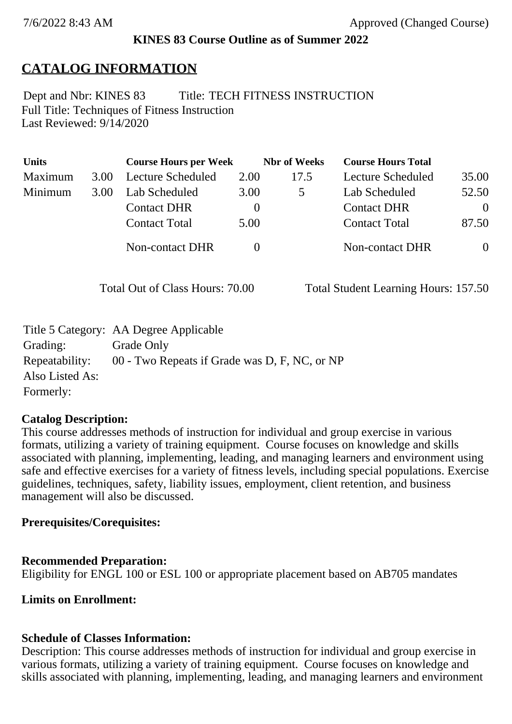### **KINES 83 Course Outline as of Summer 2022**

# **CATALOG INFORMATION**

Full Title: Techniques of Fitness Instruction Last Reviewed: 9/14/2020 Dept and Nbr: KINES 83 Title: TECH FITNESS INSTRUCTION

| <b>Units</b> |      | <b>Course Hours per Week</b> |          | <b>Nbr</b> of Weeks | <b>Course Hours Total</b> |                |
|--------------|------|------------------------------|----------|---------------------|---------------------------|----------------|
| Maximum      | 3.00 | Lecture Scheduled            | 2.00     | 17.5                | Lecture Scheduled         | 35.00          |
| Minimum      | 3.00 | Lab Scheduled                | 3.00     | $\mathcal{D}$       | Lab Scheduled             | 52.50          |
|              |      | <b>Contact DHR</b>           | $\theta$ |                     | <b>Contact DHR</b>        | $\Omega$       |
|              |      | <b>Contact Total</b>         | 5.00     |                     | <b>Contact Total</b>      | 87.50          |
|              |      | Non-contact DHR              |          |                     | Non-contact DHR           | $\overline{0}$ |

Total Out of Class Hours: 70.00 Total Student Learning Hours: 157.50

|                 | Title 5 Category: AA Degree Applicable        |
|-----------------|-----------------------------------------------|
| Grading:        | Grade Only                                    |
| Repeatability:  | 00 - Two Repeats if Grade was D, F, NC, or NP |
| Also Listed As: |                                               |
| Formerly:       |                                               |

#### **Catalog Description:**

This course addresses methods of instruction for individual and group exercise in various formats, utilizing a variety of training equipment. Course focuses on knowledge and skills associated with planning, implementing, leading, and managing learners and environment using safe and effective exercises for a variety of fitness levels, including special populations. Exercise guidelines, techniques, safety, liability issues, employment, client retention, and business management will also be discussed.

## **Prerequisites/Corequisites:**

#### **Recommended Preparation:**

Eligibility for ENGL 100 or ESL 100 or appropriate placement based on AB705 mandates

**Limits on Enrollment:**

## **Schedule of Classes Information:**

Description: This course addresses methods of instruction for individual and group exercise in various formats, utilizing a variety of training equipment. Course focuses on knowledge and skills associated with planning, implementing, leading, and managing learners and environment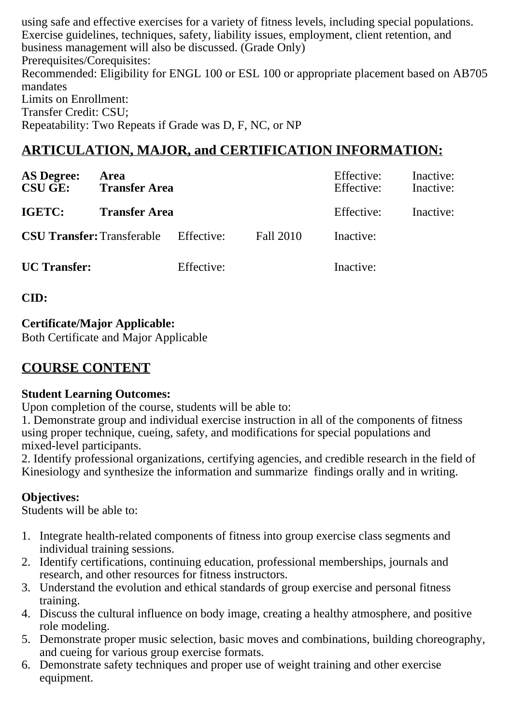using safe and effective exercises for a variety of fitness levels, including special populations. Exercise guidelines, techniques, safety, liability issues, employment, client retention, and business management will also be discussed. (Grade Only) Prerequisites/Corequisites: Recommended: Eligibility for ENGL 100 or ESL 100 or appropriate placement based on AB705 mandates Limits on Enrollment: Transfer Credit: CSU; Repeatability: Two Repeats if Grade was D, F, NC, or NP

# **ARTICULATION, MAJOR, and CERTIFICATION INFORMATION:**

| <b>AS Degree:</b><br><b>CSU GE:</b> | Area<br><b>Transfer Area</b>                 |            |                  | Effective:<br>Effective: | Inactive:<br>Inactive: |
|-------------------------------------|----------------------------------------------|------------|------------------|--------------------------|------------------------|
| IGETC:                              | <b>Transfer Area</b>                         |            |                  | Effective:               | Inactive:              |
|                                     | <b>CSU Transfer:</b> Transferable Effective: |            | <b>Fall 2010</b> | Inactive:                |                        |
| <b>UC</b> Transfer:                 |                                              | Effective: |                  | Inactive:                |                        |

**CID:**

**Certificate/Major Applicable:** 

[Both Certificate and Major Applicable](SR_ClassCheck.aspx?CourseKey=KINES83)

# **COURSE CONTENT**

#### **Student Learning Outcomes:**

Upon completion of the course, students will be able to:

1. Demonstrate group and individual exercise instruction in all of the components of fitness using proper technique, cueing, safety, and modifications for special populations and mixed-level participants.

2. Identify professional organizations, certifying agencies, and credible research in the field of Kinesiology and synthesize the information and summarize findings orally and in writing.

## **Objectives:**

Students will be able to:

- 1. Integrate health-related components of fitness into group exercise class segments and individual training sessions.
- 2. Identify certifications, continuing education, professional memberships, journals and research, and other resources for fitness instructors.
- 3. Understand the evolution and ethical standards of group exercise and personal fitness training.
- 4. Discuss the cultural influence on body image, creating a healthy atmosphere, and positive role modeling.
- 5. Demonstrate proper music selection, basic moves and combinations, building choreography, and cueing for various group exercise formats.
- 6. Demonstrate safety techniques and proper use of weight training and other exercise equipment.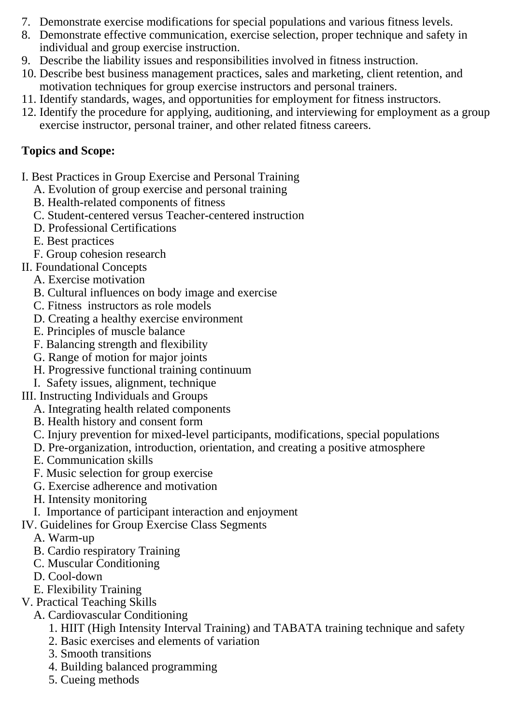- 7. Demonstrate exercise modifications for special populations and various fitness levels.
- 8. Demonstrate effective communication, exercise selection, proper technique and safety in individual and group exercise instruction.
- 9. Describe the liability issues and responsibilities involved in fitness instruction.
- 10. Describe best business management practices, sales and marketing, client retention, and motivation techniques for group exercise instructors and personal trainers.
- 11. Identify standards, wages, and opportunities for employment for fitness instructors.
- 12. Identify the procedure for applying, auditioning, and interviewing for employment as a group exercise instructor, personal trainer, and other related fitness careers.

## **Topics and Scope:**

- I. Best Practices in Group Exercise and Personal Training
	- A. Evolution of group exercise and personal training
	- B. Health-related components of fitness
	- C. Student-centered versus Teacher-centered instruction
	- D. Professional Certifications
	- E. Best practices
	- F. Group cohesion research
- II. Foundational Concepts
	- A. Exercise motivation
	- B. Cultural influences on body image and exercise
	- C. Fitness instructors as role models
	- D. Creating a healthy exercise environment
	- E. Principles of muscle balance
	- F. Balancing strength and flexibility
	- G. Range of motion for major joints
	- H. Progressive functional training continuum
	- I. Safety issues, alignment, technique
- III. Instructing Individuals and Groups
	- A. Integrating health related components
	- B. Health history and consent form
	- C. Injury prevention for mixed-level participants, modifications, special populations
	- D. Pre-organization, introduction, orientation, and creating a positive atmosphere
	- E. Communication skills
	- F. Music selection for group exercise
	- G. Exercise adherence and motivation
	- H. Intensity monitoring
	- I. Importance of participant interaction and enjoyment
- IV. Guidelines for Group Exercise Class Segments
	- A. Warm-up
	- B. Cardio respiratory Training
	- C. Muscular Conditioning
	- D. Cool-down
	- E. Flexibility Training
- V. Practical Teaching Skills
	- A. Cardiovascular Conditioning
		- 1. HIIT (High Intensity Interval Training) and TABATA training technique and safety
		- 2. Basic exercises and elements of variation
		- 3. Smooth transitions
		- 4. Building balanced programming
		- 5. Cueing methods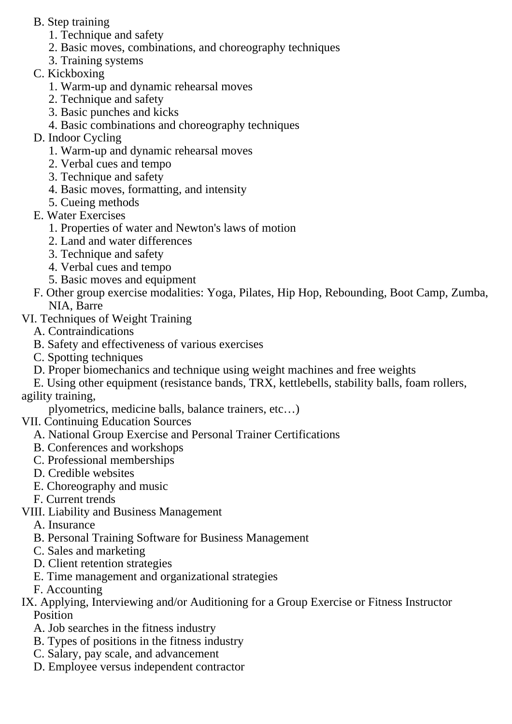- B. Step training
	- 1. Technique and safety
	- 2. Basic moves, combinations, and choreography techniques
	- 3. Training systems
- C. Kickboxing
	- 1. Warm-up and dynamic rehearsal moves
	- 2. Technique and safety
	- 3. Basic punches and kicks
	- 4. Basic combinations and choreography techniques
- D. Indoor Cycling
	- 1. Warm-up and dynamic rehearsal moves
	- 2. Verbal cues and tempo
	- 3. Technique and safety
	- 4. Basic moves, formatting, and intensity
	- 5. Cueing methods
- E. Water Exercises
	- 1. Properties of water and Newton's laws of motion
	- 2. Land and water differences
	- 3. Technique and safety
	- 4. Verbal cues and tempo
	- 5. Basic moves and equipment
- F. Other group exercise modalities: Yoga, Pilates, Hip Hop, Rebounding, Boot Camp, Zumba, NIA, Barre
- VI. Techniques of Weight Training
	- A. Contraindications
	- B. Safety and effectiveness of various exercises
	- C. Spotting techniques
	- D. Proper biomechanics and technique using weight machines and free weights
- E. Using other equipment (resistance bands, TRX, kettlebells, stability balls, foam rollers, agility training,
	- plyometrics, medicine balls, balance trainers, etc…)
- VII. Continuing Education Sources
	- A. National Group Exercise and Personal Trainer Certifications
	- B. Conferences and workshops
	- C. Professional memberships
	- D. Credible websites
	- E. Choreography and music
	- F. Current trends
- VIII. Liability and Business Management
	- A. Insurance
	- B. Personal Training Software for Business Management
	- C. Sales and marketing
	- D. Client retention strategies
	- E. Time management and organizational strategies
	- F. Accounting
- IX. Applying, Interviewing and/or Auditioning for a Group Exercise or Fitness Instructor Position
	- A. Job searches in the fitness industry
	- B. Types of positions in the fitness industry
	- C. Salary, pay scale, and advancement
	- D. Employee versus independent contractor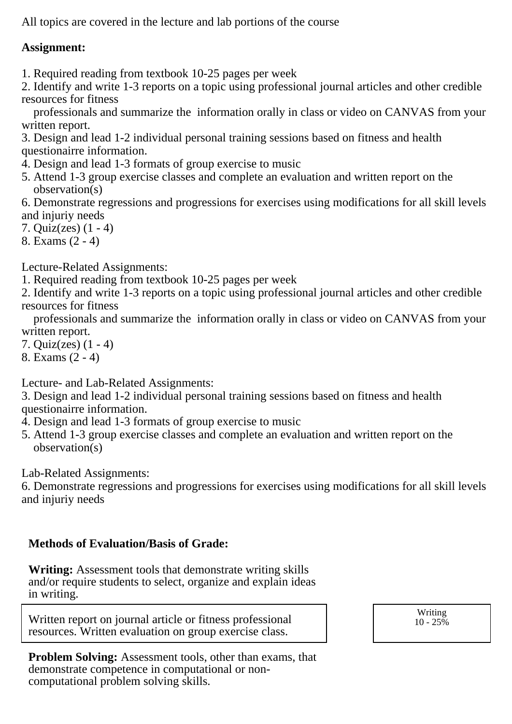All topics are covered in the lecture and lab portions of the course

### **Assignment:**

1. Required reading from textbook 10-25 pages per week

2. Identify and write 1-3 reports on a topic using professional journal articles and other credible resources for fitness

 professionals and summarize the information orally in class or video on CANVAS from your written report.

3. Design and lead 1-2 individual personal training sessions based on fitness and health questionairre information.

- 4. Design and lead 1-3 formats of group exercise to music
- 5. Attend 1-3 group exercise classes and complete an evaluation and written report on the observation(s)
- 6. Demonstrate regressions and progressions for exercises using modifications for all skill levels and injuriy needs
- 7. Quiz(zes) (1 4)
- 8. Exams (2 4)

Lecture-Related Assignments:

1. Required reading from textbook 10-25 pages per week

2. Identify and write 1-3 reports on a topic using professional journal articles and other credible resources for fitness

 professionals and summarize the information orally in class or video on CANVAS from your written report.

- 7. Quiz(zes) (1 4)
- 8. Exams (2 4)

Lecture- and Lab-Related Assignments:

3. Design and lead 1-2 individual personal training sessions based on fitness and health questionairre information.

- 4. Design and lead 1-3 formats of group exercise to music
- 5. Attend 1-3 group exercise classes and complete an evaluation and written report on the observation(s)

Lab-Related Assignments:

6. Demonstrate regressions and progressions for exercises using modifications for all skill levels and injuriy needs

## **Methods of Evaluation/Basis of Grade:**

**Writing:** Assessment tools that demonstrate writing skills and/or require students to select, organize and explain ideas in writing.

Written report on journal article or fitness professional resources. Written evaluation on group exercise class.

Writing  $10 - 25\%$ 

**Problem Solving:** Assessment tools, other than exams, that demonstrate competence in computational or noncomputational problem solving skills.